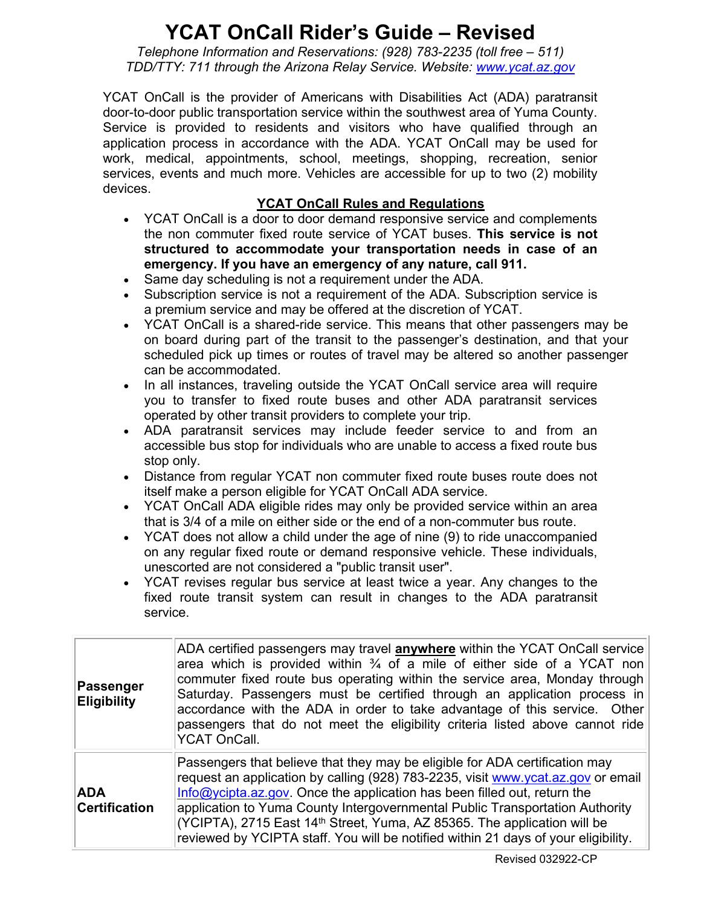## **YCAT OnCall Rider's Guide – Revised**

*Telephone Information and Reservations: (928) 783-2235 (toll free – 511) TDD/TTY: 711 through the Arizona Relay Service. Website: [www.ycat.az.gov](http://www.ycat.az.gov/)*

YCAT OnCall is the provider of Americans with Disabilities Act (ADA) paratransit door-to-door public transportation service within the southwest area of Yuma County. Service is provided to residents and visitors who have qualified through an application process in accordance with the ADA. YCAT OnCall may be used for work, medical, appointments, school, meetings, shopping, recreation, senior services, events and much more. Vehicles are accessible for up to two (2) mobility devices.

## **YCAT OnCall Rules and Regulations**

- YCAT OnCall is a door to door demand responsive service and complements the non commuter fixed route service of YCAT buses. **This service is not structured to accommodate your transportation needs in case of an emergency. If you have an emergency of any nature, call 911.**
- Same day scheduling is not a requirement under the ADA.
- Subscription service is not a requirement of the ADA. Subscription service is a premium service and may be offered at the discretion of YCAT.
- YCAT OnCall is a shared-ride service. This means that other passengers may be on board during part of the transit to the passenger's destination, and that your scheduled pick up times or routes of travel may be altered so another passenger can be accommodated.
- In all instances, traveling outside the YCAT OnCall service area will require you to transfer to fixed route buses and other ADA paratransit services operated by other transit providers to complete your trip.
- ADA paratransit services may include feeder service to and from an accessible bus stop for individuals who are unable to access a fixed route bus stop only.
- Distance from regular YCAT non commuter fixed route buses route does not itself make a person eligible for YCAT OnCall ADA service.
- YCAT OnCall ADA eligible rides may only be provided service within an area that is 3/4 of a mile on either side or the end of a non-commuter bus route.
- YCAT does not allow a child under the age of nine (9) to ride unaccompanied on any regular fixed route or demand responsive vehicle. These individuals, unescorted are not considered a "public transit user".
- YCAT revises regular bus service at least twice a year. Any changes to the fixed route transit system can result in changes to the ADA paratransit service.

| Passenger<br><b>Eligibility</b>    | ADA certified passengers may travel <b>anywhere</b> within the YCAT OnCall service<br>area which is provided within $\frac{3}{4}$ of a mile of either side of a YCAT non<br>commuter fixed route bus operating within the service area, Monday through<br>Saturday. Passengers must be certified through an application process in<br>accordance with the ADA in order to take advantage of this service. Other<br>passengers that do not meet the eligibility criteria listed above cannot ride<br><b>YCAT OnCall.</b> |
|------------------------------------|-------------------------------------------------------------------------------------------------------------------------------------------------------------------------------------------------------------------------------------------------------------------------------------------------------------------------------------------------------------------------------------------------------------------------------------------------------------------------------------------------------------------------|
| <b>ADA</b><br><b>Certification</b> | Passengers that believe that they may be eligible for ADA certification may<br>request an application by calling (928) 783-2235, visit www.ycat.az.gov or email<br>$Info@ycipta.$ az.gov. Once the application has been filled out, return the<br>application to Yuma County Intergovernmental Public Transportation Authority<br>(YCIPTA), 2715 East 14 <sup>th</sup> Street, Yuma, AZ 85365. The application will be<br>reviewed by YCIPTA staff. You will be notified within 21 days of your eligibility.            |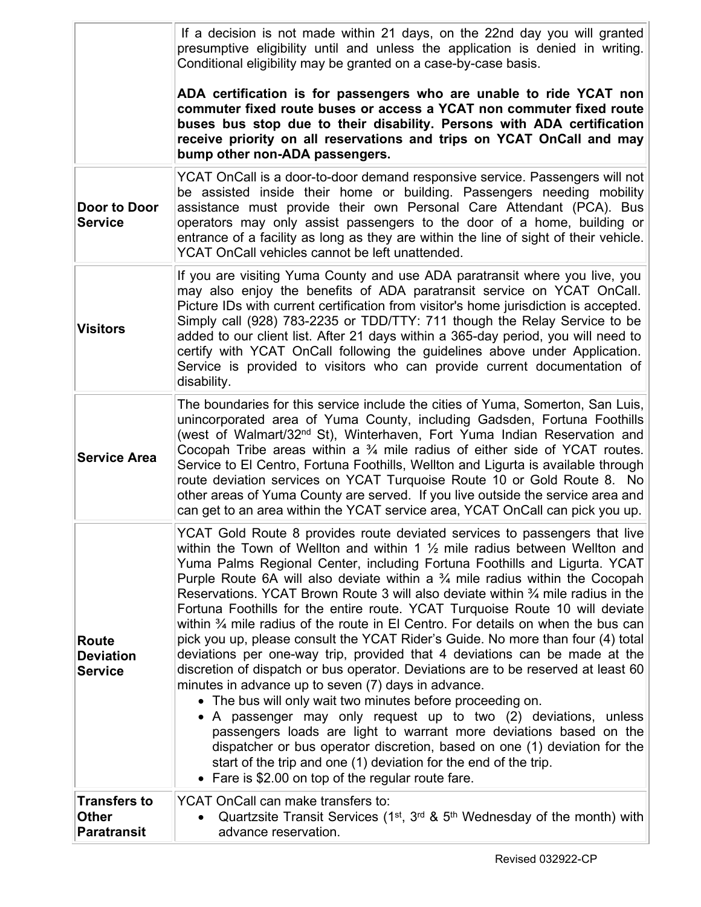|                                                           | If a decision is not made within 21 days, on the 22nd day you will granted<br>presumptive eligibility until and unless the application is denied in writing.<br>Conditional eligibility may be granted on a case-by-case basis.                                                                                                                                                                                                                                                                                                                                                                                                                                                                                                                                                                                                                                                                                                                                                                                                                                                                                                                                                                                                                                                                                                           |
|-----------------------------------------------------------|-------------------------------------------------------------------------------------------------------------------------------------------------------------------------------------------------------------------------------------------------------------------------------------------------------------------------------------------------------------------------------------------------------------------------------------------------------------------------------------------------------------------------------------------------------------------------------------------------------------------------------------------------------------------------------------------------------------------------------------------------------------------------------------------------------------------------------------------------------------------------------------------------------------------------------------------------------------------------------------------------------------------------------------------------------------------------------------------------------------------------------------------------------------------------------------------------------------------------------------------------------------------------------------------------------------------------------------------|
|                                                           | ADA certification is for passengers who are unable to ride YCAT non<br>commuter fixed route buses or access a YCAT non commuter fixed route<br>buses bus stop due to their disability. Persons with ADA certification<br>receive priority on all reservations and trips on YCAT OnCall and may<br>bump other non-ADA passengers.                                                                                                                                                                                                                                                                                                                                                                                                                                                                                                                                                                                                                                                                                                                                                                                                                                                                                                                                                                                                          |
| Door to Door<br><b>Service</b>                            | YCAT OnCall is a door-to-door demand responsive service. Passengers will not<br>be assisted inside their home or building. Passengers needing mobility<br>assistance must provide their own Personal Care Attendant (PCA). Bus<br>operators may only assist passengers to the door of a home, building or<br>entrance of a facility as long as they are within the line of sight of their vehicle.<br>YCAT OnCall vehicles cannot be left unattended.                                                                                                                                                                                                                                                                                                                                                                                                                                                                                                                                                                                                                                                                                                                                                                                                                                                                                     |
| <b>Visitors</b>                                           | If you are visiting Yuma County and use ADA paratransit where you live, you<br>may also enjoy the benefits of ADA paratransit service on YCAT OnCall.<br>Picture IDs with current certification from visitor's home jurisdiction is accepted.<br>Simply call (928) 783-2235 or TDD/TTY: 711 though the Relay Service to be<br>added to our client list. After 21 days within a 365-day period, you will need to<br>certify with YCAT OnCall following the guidelines above under Application.<br>Service is provided to visitors who can provide current documentation of<br>disability.                                                                                                                                                                                                                                                                                                                                                                                                                                                                                                                                                                                                                                                                                                                                                  |
| <b>Service Area</b>                                       | The boundaries for this service include the cities of Yuma, Somerton, San Luis,<br>unincorporated area of Yuma County, including Gadsden, Fortuna Foothills<br>(west of Walmart/32 <sup>nd</sup> St), Winterhaven, Fort Yuma Indian Reservation and<br>Cocopah Tribe areas within a $\frac{3}{4}$ mile radius of either side of YCAT routes.<br>Service to El Centro, Fortuna Foothills, Wellton and Ligurta is available through<br>route deviation services on YCAT Turquoise Route 10 or Gold Route 8. No<br>other areas of Yuma County are served. If you live outside the service area and<br>can get to an area within the YCAT service area, YCAT OnCall can pick you up.                                                                                                                                                                                                                                                                                                                                                                                                                                                                                                                                                                                                                                                          |
| <b>Route</b><br><b>Deviation</b><br><b>Service</b>        | YCAT Gold Route 8 provides route deviated services to passengers that live<br>within the Town of Wellton and within 1 $\frac{1}{2}$ mile radius between Wellton and<br>Yuma Palms Regional Center, including Fortuna Foothills and Ligurta. YCAT<br>Purple Route 6A will also deviate within a $\frac{3}{4}$ mile radius within the Cocopah<br>Reservations. YCAT Brown Route 3 will also deviate within 3/4 mile radius in the<br>Fortuna Foothills for the entire route. YCAT Turquoise Route 10 will deviate<br>within $\frac{3}{4}$ mile radius of the route in El Centro. For details on when the bus can<br>pick you up, please consult the YCAT Rider's Guide. No more than four (4) total<br>deviations per one-way trip, provided that 4 deviations can be made at the<br>discretion of dispatch or bus operator. Deviations are to be reserved at least 60<br>minutes in advance up to seven (7) days in advance.<br>• The bus will only wait two minutes before proceeding on.<br>• A passenger may only request up to two (2) deviations, unless<br>passengers loads are light to warrant more deviations based on the<br>dispatcher or bus operator discretion, based on one (1) deviation for the<br>start of the trip and one (1) deviation for the end of the trip.<br>• Fare is \$2.00 on top of the regular route fare. |
| <b>Transfers to</b><br><b>Other</b><br><b>Paratransit</b> | YCAT OnCall can make transfers to:<br>Quartzsite Transit Services ( $1st$ , $3rd$ & $5th$ Wednesday of the month) with<br>advance reservation.                                                                                                                                                                                                                                                                                                                                                                                                                                                                                                                                                                                                                                                                                                                                                                                                                                                                                                                                                                                                                                                                                                                                                                                            |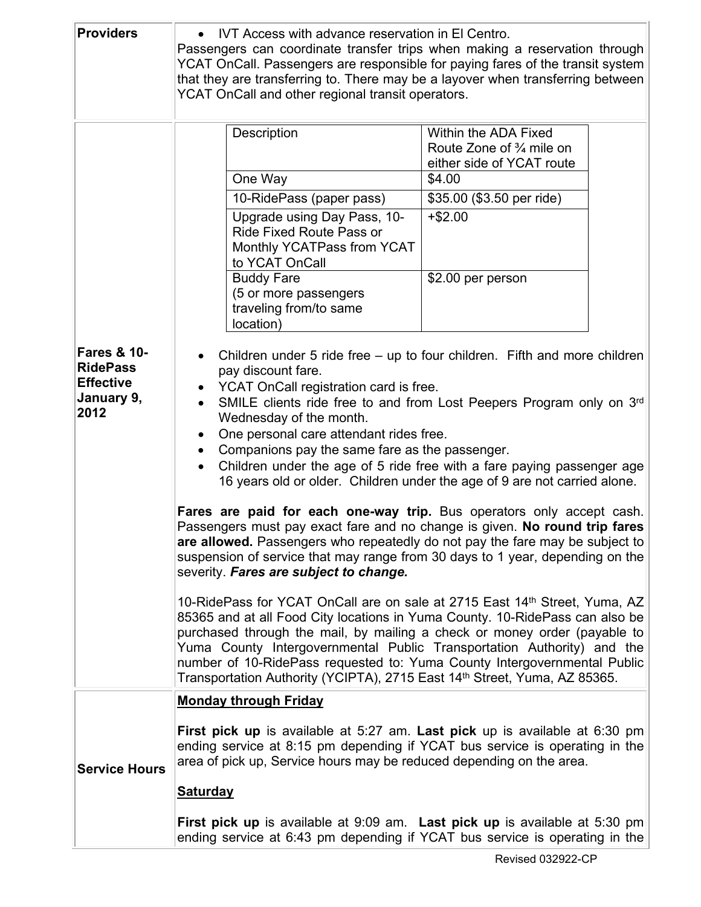| <b>Providers</b>                                                                    | IVT Access with advance reservation in El Centro.<br>Passengers can coordinate transfer trips when making a reservation through<br>YCAT OnCall. Passengers are responsible for paying fares of the transit system<br>that they are transferring to. There may be a layover when transferring between<br>YCAT OnCall and other regional transit operators.                                                                                                                                                                                                                                                                                                                                                                                                                                                                                                                                                                                                                                                                                                                                                                                                                                                                                                                                                                                                          |                                                                                                                                                                                                                                                                                                                                                                                                                                                                               |
|-------------------------------------------------------------------------------------|--------------------------------------------------------------------------------------------------------------------------------------------------------------------------------------------------------------------------------------------------------------------------------------------------------------------------------------------------------------------------------------------------------------------------------------------------------------------------------------------------------------------------------------------------------------------------------------------------------------------------------------------------------------------------------------------------------------------------------------------------------------------------------------------------------------------------------------------------------------------------------------------------------------------------------------------------------------------------------------------------------------------------------------------------------------------------------------------------------------------------------------------------------------------------------------------------------------------------------------------------------------------------------------------------------------------------------------------------------------------|-------------------------------------------------------------------------------------------------------------------------------------------------------------------------------------------------------------------------------------------------------------------------------------------------------------------------------------------------------------------------------------------------------------------------------------------------------------------------------|
| <b>Fares &amp; 10-</b><br><b>RidePass</b><br><b>Effective</b><br>January 9,<br>2012 | Description<br>One Way<br>10-RidePass (paper pass)<br>Upgrade using Day Pass, 10-<br><b>Ride Fixed Route Pass or</b><br>Monthly YCATPass from YCAT<br>to YCAT OnCall<br><b>Buddy Fare</b><br>(5 or more passengers<br>traveling from/to same<br>location)<br>$\bullet$<br>pay discount fare.<br>YCAT OnCall registration card is free.<br>$\bullet$<br>Wednesday of the month.<br>One personal care attendant rides free.<br>$\bullet$<br>Companions pay the same fare as the passenger.<br>$\bullet$<br>$\bullet$<br>Fares are paid for each one-way trip. Bus operators only accept cash.<br>Passengers must pay exact fare and no change is given. No round trip fares<br>are allowed. Passengers who repeatedly do not pay the fare may be subject to<br>suspension of service that may range from 30 days to 1 year, depending on the<br>severity. Fares are subject to change.<br>10-RidePass for YCAT OnCall are on sale at 2715 East 14th Street, Yuma, AZ<br>85365 and at all Food City locations in Yuma County. 10-RidePass can also be<br>purchased through the mail, by mailing a check or money order (payable to<br>Yuma County Intergovernmental Public Transportation Authority) and the<br>number of 10-RidePass requested to: Yuma County Intergovernmental Public<br>Transportation Authority (YCIPTA), 2715 East 14th Street, Yuma, AZ 85365. | Within the ADA Fixed<br>Route Zone of $\frac{3}{4}$ mile on<br>either side of YCAT route<br>\$4.00<br>\$35.00 (\$3.50 per ride)<br>$+ $2.00$<br>\$2.00 per person<br>Children under 5 ride free - up to four children. Fifth and more children<br>SMILE clients ride free to and from Lost Peepers Program only on 3rd<br>Children under the age of 5 ride free with a fare paying passenger age<br>16 years old or older. Children under the age of 9 are not carried alone. |
| <b>Service Hours</b>                                                                | <b>Monday through Friday</b><br><b>First pick up</b> is available at 5:27 am. Last pick up is available at 6:30 pm<br>ending service at 8:15 pm depending if YCAT bus service is operating in the<br>area of pick up, Service hours may be reduced depending on the area.<br><b>Saturday</b>                                                                                                                                                                                                                                                                                                                                                                                                                                                                                                                                                                                                                                                                                                                                                                                                                                                                                                                                                                                                                                                                       |                                                                                                                                                                                                                                                                                                                                                                                                                                                                               |
|                                                                                     | <b>First pick up</b> is available at 9:09 am. Last pick up is available at 5:30 pm<br>ending service at 6:43 pm depending if YCAT bus service is operating in the                                                                                                                                                                                                                                                                                                                                                                                                                                                                                                                                                                                                                                                                                                                                                                                                                                                                                                                                                                                                                                                                                                                                                                                                  |                                                                                                                                                                                                                                                                                                                                                                                                                                                                               |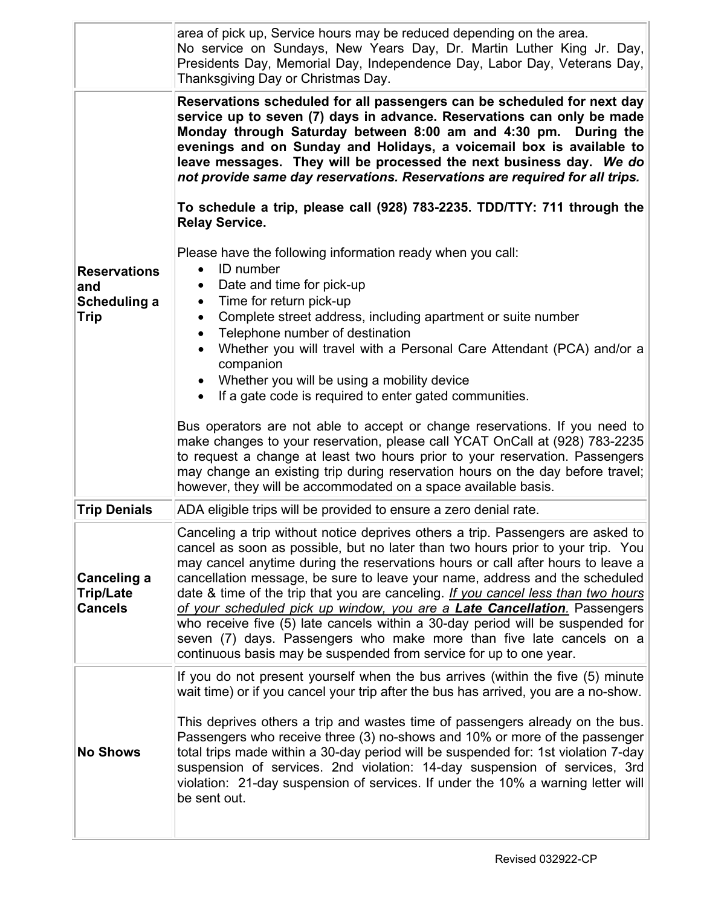|                                                           | area of pick up, Service hours may be reduced depending on the area.<br>No service on Sundays, New Years Day, Dr. Martin Luther King Jr. Day,<br>Presidents Day, Memorial Day, Independence Day, Labor Day, Veterans Day,<br>Thanksgiving Day or Christmas Day.                                                                                                                                                                                                                                                                                                                                                                                                                                                                                                                                            |
|-----------------------------------------------------------|------------------------------------------------------------------------------------------------------------------------------------------------------------------------------------------------------------------------------------------------------------------------------------------------------------------------------------------------------------------------------------------------------------------------------------------------------------------------------------------------------------------------------------------------------------------------------------------------------------------------------------------------------------------------------------------------------------------------------------------------------------------------------------------------------------|
|                                                           | Reservations scheduled for all passengers can be scheduled for next day<br>service up to seven (7) days in advance. Reservations can only be made<br>Monday through Saturday between 8:00 am and 4:30 pm. During the<br>evenings and on Sunday and Holidays, a voicemail box is available to<br>leave messages. They will be processed the next business day. We do<br>not provide same day reservations. Reservations are required for all trips.<br>To schedule a trip, please call (928) 783-2235. TDD/TTY: 711 through the                                                                                                                                                                                                                                                                             |
| <b>Reservations</b><br>and<br>Scheduling a<br><b>Trip</b> | <b>Relay Service.</b><br>Please have the following information ready when you call:<br><b>ID</b> number<br>$\bullet$<br>Date and time for pick-up<br>Time for return pick-up<br>$\bullet$<br>Complete street address, including apartment or suite number<br>$\bullet$<br>Telephone number of destination<br>$\bullet$<br>Whether you will travel with a Personal Care Attendant (PCA) and/or a<br>$\bullet$<br>companion<br>Whether you will be using a mobility device<br>$\bullet$<br>If a gate code is required to enter gated communities.<br>$\bullet$<br>Bus operators are not able to accept or change reservations. If you need to<br>make changes to your reservation, please call YCAT OnCall at (928) 783-2235<br>to request a change at least two hours prior to your reservation. Passengers |
| <b>Trip Denials</b>                                       | may change an existing trip during reservation hours on the day before travel;<br>however, they will be accommodated on a space available basis.<br>ADA eligible trips will be provided to ensure a zero denial rate.                                                                                                                                                                                                                                                                                                                                                                                                                                                                                                                                                                                      |
|                                                           | Canceling a trip without notice deprives others a trip. Passengers are asked to                                                                                                                                                                                                                                                                                                                                                                                                                                                                                                                                                                                                                                                                                                                            |
| <b>Canceling a</b><br><b>Trip/Late</b><br><b>Cancels</b>  | cancel as soon as possible, but no later than two hours prior to your trip. You<br>may cancel anytime during the reservations hours or call after hours to leave a<br>cancellation message, be sure to leave your name, address and the scheduled<br>date & time of the trip that you are canceling. If you cancel less than two hours<br>of your scheduled pick up window, you are a Late Cancellation. Passengers<br>who receive five (5) late cancels within a 30-day period will be suspended for<br>seven (7) days. Passengers who make more than five late cancels on a<br>continuous basis may be suspended from service for up to one year.                                                                                                                                                        |
| <b>No Shows</b>                                           | If you do not present yourself when the bus arrives (within the five (5) minute<br>wait time) or if you cancel your trip after the bus has arrived, you are a no-show.<br>This deprives others a trip and wastes time of passengers already on the bus.<br>Passengers who receive three (3) no-shows and 10% or more of the passenger<br>total trips made within a 30-day period will be suspended for: 1st violation 7-day<br>suspension of services. 2nd violation: 14-day suspension of services, 3rd<br>violation: 21-day suspension of services. If under the 10% a warning letter will<br>be sent out.                                                                                                                                                                                               |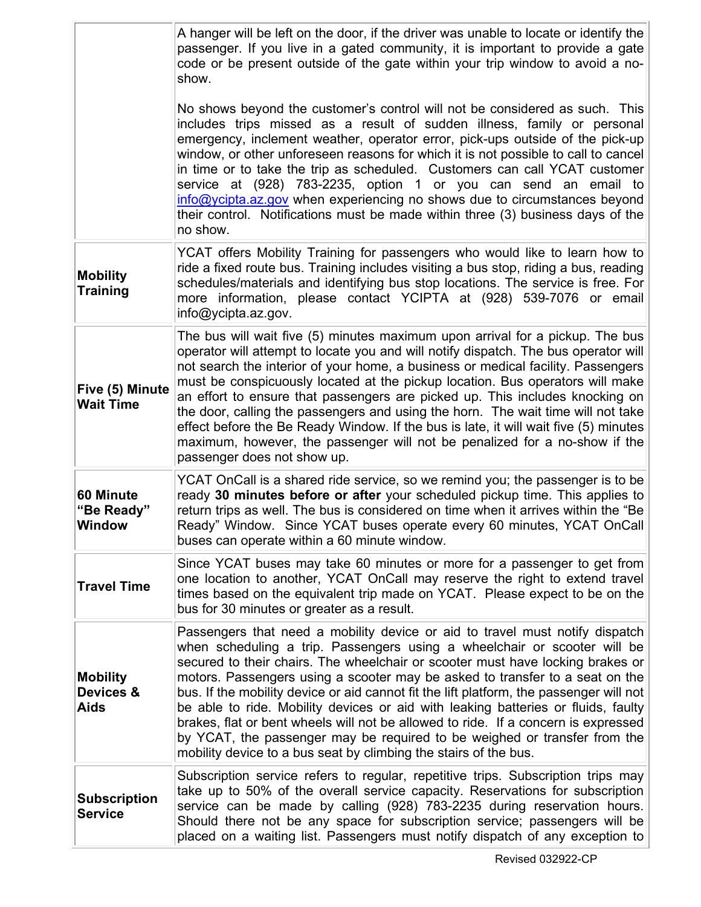|                                          | A hanger will be left on the door, if the driver was unable to locate or identify the<br>passenger. If you live in a gated community, it is important to provide a gate<br>code or be present outside of the gate within your trip window to avoid a no-<br>show.                                                                                                                                                                                                                                                                                                                                                                                                                                                                                 |
|------------------------------------------|---------------------------------------------------------------------------------------------------------------------------------------------------------------------------------------------------------------------------------------------------------------------------------------------------------------------------------------------------------------------------------------------------------------------------------------------------------------------------------------------------------------------------------------------------------------------------------------------------------------------------------------------------------------------------------------------------------------------------------------------------|
|                                          | No shows beyond the customer's control will not be considered as such. This<br>includes trips missed as a result of sudden illness, family or personal<br>emergency, inclement weather, operator error, pick-ups outside of the pick-up<br>window, or other unforeseen reasons for which it is not possible to call to cancel<br>in time or to take the trip as scheduled. Customers can call YCAT customer<br>service at (928) 783-2235, option 1 or you can send an email to<br>info@ycipta.az.gov when experiencing no shows due to circumstances beyond<br>their control. Notifications must be made within three (3) business days of the<br>no show.                                                                                        |
| <b>Mobility</b><br><b>Training</b>       | YCAT offers Mobility Training for passengers who would like to learn how to<br>ride a fixed route bus. Training includes visiting a bus stop, riding a bus, reading<br>schedules/materials and identifying bus stop locations. The service is free. For<br>more information, please contact YCIPTA at (928) 539-7076 or email<br>info@ycipta.az.gov.                                                                                                                                                                                                                                                                                                                                                                                              |
| Five (5) Minute<br><b>Wait Time</b>      | The bus will wait five (5) minutes maximum upon arrival for a pickup. The bus<br>operator will attempt to locate you and will notify dispatch. The bus operator will<br>not search the interior of your home, a business or medical facility. Passengers<br>must be conspicuously located at the pickup location. Bus operators will make<br>an effort to ensure that passengers are picked up. This includes knocking on<br>the door, calling the passengers and using the horn. The wait time will not take<br>effect before the Be Ready Window. If the bus is late, it will wait five (5) minutes<br>maximum, however, the passenger will not be penalized for a no-show if the<br>passenger does not show up.                                |
| 60 Minute<br>"Be Ready"<br><b>Window</b> | YCAT OnCall is a shared ride service, so we remind you; the passenger is to be<br>ready 30 minutes before or after your scheduled pickup time. This applies to<br>return trips as well. The bus is considered on time when it arrives within the "Be<br>Ready" Window. Since YCAT buses operate every 60 minutes, YCAT OnCall<br>buses can operate within a 60 minute window.                                                                                                                                                                                                                                                                                                                                                                     |
| <b>Travel Time</b>                       | Since YCAT buses may take 60 minutes or more for a passenger to get from<br>one location to another, YCAT OnCall may reserve the right to extend travel<br>times based on the equivalent trip made on YCAT. Please expect to be on the<br>bus for 30 minutes or greater as a result.                                                                                                                                                                                                                                                                                                                                                                                                                                                              |
| <b>Mobility</b><br>Devices &<br>Aids     | Passengers that need a mobility device or aid to travel must notify dispatch<br>when scheduling a trip. Passengers using a wheelchair or scooter will be<br>secured to their chairs. The wheelchair or scooter must have locking brakes or<br>motors. Passengers using a scooter may be asked to transfer to a seat on the<br>bus. If the mobility device or aid cannot fit the lift platform, the passenger will not<br>be able to ride. Mobility devices or aid with leaking batteries or fluids, faulty<br>brakes, flat or bent wheels will not be allowed to ride. If a concern is expressed<br>by YCAT, the passenger may be required to be weighed or transfer from the<br>mobility device to a bus seat by climbing the stairs of the bus. |
| <b>Subscription</b><br><b>Service</b>    | Subscription service refers to regular, repetitive trips. Subscription trips may<br>take up to 50% of the overall service capacity. Reservations for subscription<br>service can be made by calling (928) 783-2235 during reservation hours.<br>Should there not be any space for subscription service; passengers will be<br>placed on a waiting list. Passengers must notify dispatch of any exception to                                                                                                                                                                                                                                                                                                                                       |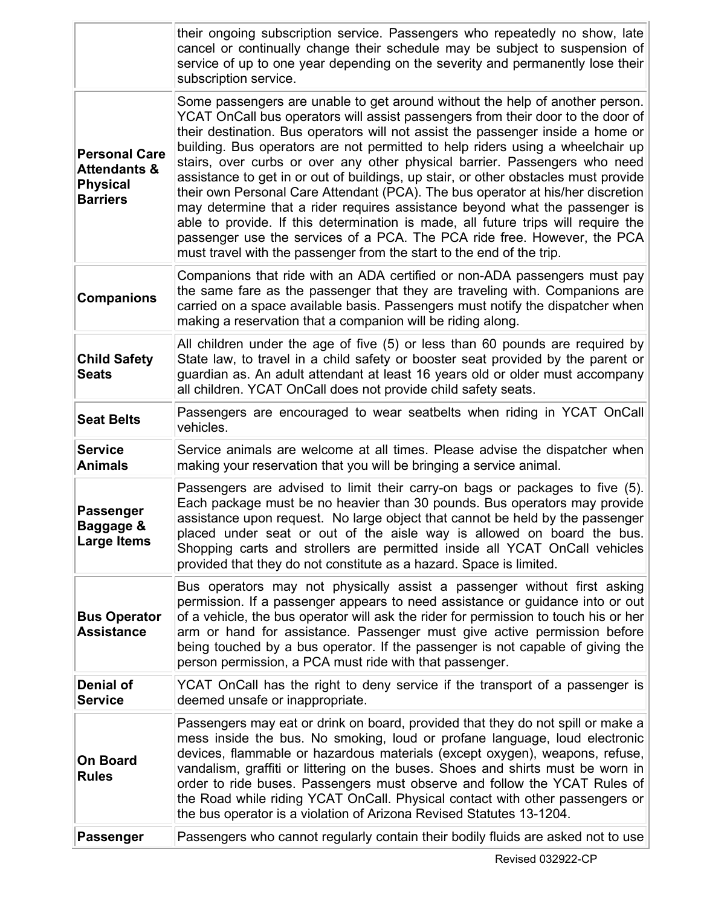|                                                                                       | their ongoing subscription service. Passengers who repeatedly no show, late<br>cancel or continually change their schedule may be subject to suspension of<br>service of up to one year depending on the severity and permanently lose their<br>subscription service.                                                                                                                                                                                                                                                                                                                                                                                                                                                                                                                                                                                                                                                 |
|---------------------------------------------------------------------------------------|-----------------------------------------------------------------------------------------------------------------------------------------------------------------------------------------------------------------------------------------------------------------------------------------------------------------------------------------------------------------------------------------------------------------------------------------------------------------------------------------------------------------------------------------------------------------------------------------------------------------------------------------------------------------------------------------------------------------------------------------------------------------------------------------------------------------------------------------------------------------------------------------------------------------------|
| <b>Personal Care</b><br><b>Attendants &amp;</b><br><b>Physical</b><br><b>Barriers</b> | Some passengers are unable to get around without the help of another person.<br>YCAT OnCall bus operators will assist passengers from their door to the door of<br>their destination. Bus operators will not assist the passenger inside a home or<br>building. Bus operators are not permitted to help riders using a wheelchair up<br>stairs, over curbs or over any other physical barrier. Passengers who need<br>assistance to get in or out of buildings, up stair, or other obstacles must provide<br>their own Personal Care Attendant (PCA). The bus operator at his/her discretion<br>may determine that a rider requires assistance beyond what the passenger is<br>able to provide. If this determination is made, all future trips will require the<br>passenger use the services of a PCA. The PCA ride free. However, the PCA<br>must travel with the passenger from the start to the end of the trip. |
| <b>Companions</b>                                                                     | Companions that ride with an ADA certified or non-ADA passengers must pay<br>the same fare as the passenger that they are traveling with. Companions are<br>carried on a space available basis. Passengers must notify the dispatcher when<br>making a reservation that a companion will be riding along.                                                                                                                                                                                                                                                                                                                                                                                                                                                                                                                                                                                                             |
| <b>Child Safety</b><br><b>Seats</b>                                                   | All children under the age of five (5) or less than 60 pounds are required by<br>State law, to travel in a child safety or booster seat provided by the parent or<br>guardian as. An adult attendant at least 16 years old or older must accompany<br>all children. YCAT OnCall does not provide child safety seats.                                                                                                                                                                                                                                                                                                                                                                                                                                                                                                                                                                                                  |
| <b>Seat Belts</b>                                                                     | Passengers are encouraged to wear seatbelts when riding in YCAT OnCall<br>vehicles.                                                                                                                                                                                                                                                                                                                                                                                                                                                                                                                                                                                                                                                                                                                                                                                                                                   |
| <b>Service</b><br><b>Animals</b>                                                      | Service animals are welcome at all times. Please advise the dispatcher when<br>making your reservation that you will be bringing a service animal.                                                                                                                                                                                                                                                                                                                                                                                                                                                                                                                                                                                                                                                                                                                                                                    |
| <b>Passenger</b><br>Baggage &<br>Large Items                                          | Passengers are advised to limit their carry-on bags or packages to five (5).<br>Each package must be no heavier than 30 pounds. Bus operators may provide<br>assistance upon request. No large object that cannot be held by the passenger<br>placed under seat or out of the aisle way is allowed on board the bus.<br>Shopping carts and strollers are permitted inside all YCAT OnCall vehicles<br>provided that they do not constitute as a hazard. Space is limited.                                                                                                                                                                                                                                                                                                                                                                                                                                             |
| <b>Bus Operator</b><br><b>Assistance</b>                                              | Bus operators may not physically assist a passenger without first asking<br>permission. If a passenger appears to need assistance or guidance into or out<br>of a vehicle, the bus operator will ask the rider for permission to touch his or her<br>arm or hand for assistance. Passenger must give active permission before<br>being touched by a bus operator. If the passenger is not capable of giving the<br>person permission, a PCA must ride with that passenger.                                                                                                                                                                                                                                                                                                                                                                                                                                            |
| <b>Denial of</b><br><b>Service</b>                                                    | YCAT OnCall has the right to deny service if the transport of a passenger is<br>deemed unsafe or inappropriate.                                                                                                                                                                                                                                                                                                                                                                                                                                                                                                                                                                                                                                                                                                                                                                                                       |
| <b>On Board</b><br><b>Rules</b>                                                       | Passengers may eat or drink on board, provided that they do not spill or make a<br>mess inside the bus. No smoking, loud or profane language, loud electronic<br>devices, flammable or hazardous materials (except oxygen), weapons, refuse,<br>vandalism, graffiti or littering on the buses. Shoes and shirts must be worn in<br>order to ride buses. Passengers must observe and follow the YCAT Rules of<br>the Road while riding YCAT OnCall. Physical contact with other passengers or<br>the bus operator is a violation of Arizona Revised Statutes 13-1204.                                                                                                                                                                                                                                                                                                                                                  |
| <b>Passenger</b>                                                                      | Passengers who cannot regularly contain their bodily fluids are asked not to use                                                                                                                                                                                                                                                                                                                                                                                                                                                                                                                                                                                                                                                                                                                                                                                                                                      |